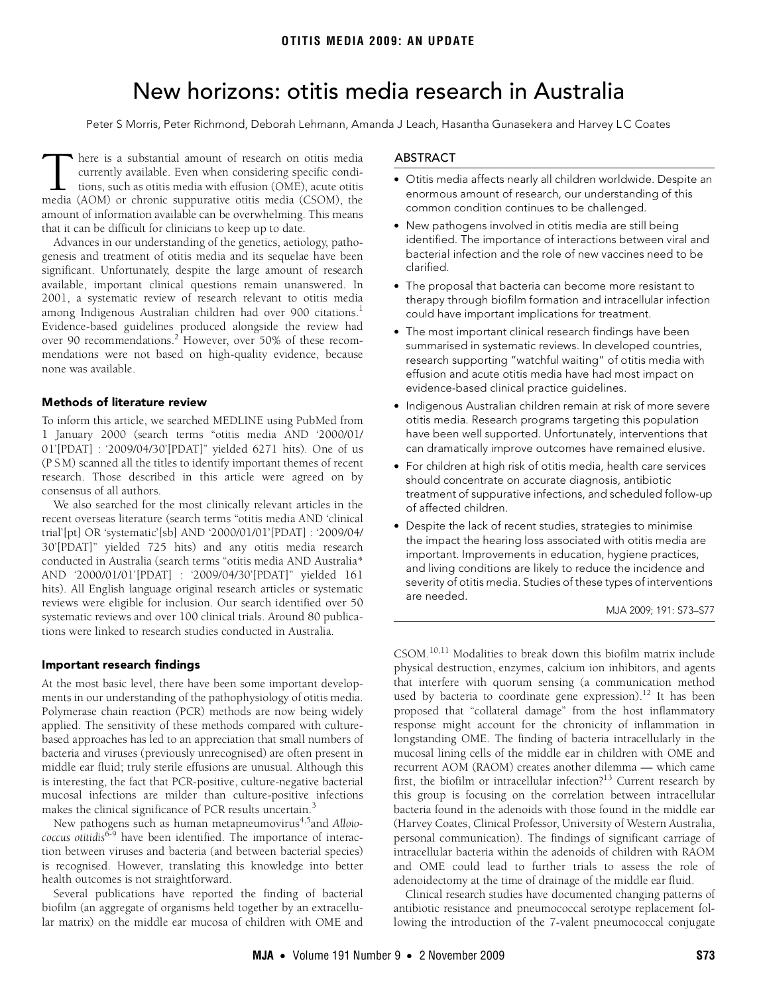# New horizons: otitis media research in Australia

<span id="page-0-0"></span>Peter S Morris, Peter Richmond, Deborah Lehmann, Amanda J Leach, Hasantha Gunasekera and Harvey L C Coates

here is a substantial amount of research on otitis media currently available. Even when considering specific conditions, such as otitis media with effusion (OME), acute otitis There is a substantial amount of research on otitis media currently available. Even when considering specific conditions, such as otitis media with effusion (OME), acute otitis media (AOM) or chronic suppurative otitis med amount of information available can be overwhelming. This means that it can be difficult for clinicians to keep up to date.

avanable, important cinncar questions remain unanswered. In<br>2001, a systematic review of rese[arc](#page-0-0)h [re](#page-4-0)levant to otitis media  $729$  2 a systematic review of research re among Indigenous Australian children had over 900 citations.<sup>[1](#page-3-0)</sup> Evidence-based guidelines produced alongside the review had over 90 recommendations.<sup>[2](#page-3-1)</sup> However, over 50% of these recom-Advances in our understanding of the genetics, aetiology, pathogenesis and treatment of otitis media and its sequelae have been significant. Unfortunately, despite the large amount of research available, important clinical questions remain unanswered. In mendations were not based on high-quality evidence, because none was available.

#### Methods of literature review

To inform this article, we searched MEDLINE using PubMed from 1 January 2000 (search terms "otitis media AND '2000/01/ 01'[PDAT] : '2009/04/30'[PDAT]" yielded 6271 hits). One of us (P S M) scanned all the titles to identify important themes of recent research. Those described in this article were agreed on by consensus of all authors.

We also searched for the most clinically relevant articles in the recent overseas literature (search terms "otitis media AND 'clinical trial'[pt] OR 'systematic'[sb] AND '2000/01/01'[PDAT] : '2009/04/ 30'[PDAT]" yielded 725 hits) and any otitis media research conducted in Australia (search terms "otitis media AND Australia\* AND '2000/01/01'[PDAT] : '2009/04/30'[PDAT]" yielded 161 hits). All English language original research articles or systematic reviews were eligible for inclusion. Our search identified over 50 systematic reviews and over 100 clinical trials. Around 80 publications were linked to research studies conducted in Australia.

#### Important research findings

At the most basic level, there have been some important developments in our understanding of the pathophysiology of otitis media. Polymerase chain reaction (PCR) methods are now being widely applied. The sensitivity of these methods compared with culturebased approaches has led to an appreciation that small numbers of bacteria and viruses (previously unrecognised) are often present in middle ear fluid; truly sterile effusions are unusual. Although this is interesting, the fact that PCR-positive, culture-negative bacterial mucosal infections are milder than culture-positive infections makes the clinical significance of PCR results uncertain.<sup>[3](#page-3-2)</sup>

New pathogens such as human metapneumovirus<sup>[4,](#page-3-3)5</sup>and *Alloiococcus otitidis*[6-](#page-3-5)[9](#page-3-6) have been identified. The importance of interaction between viruses and bacteria (and between bacterial species) is recognised. However, translating this knowledge into better health outcomes is not straightforward.

Several publications have reported the finding of bacterial biofilm (an aggregate of organisms held together by an extracellular matrix) on the middle ear mucosa of children with OME and

## ABSTRACT

- Otitis media affects nearly all children worldwide. Despite an enormous amount of research, our understanding of this common condition continues to be challenged.
- New pathogens involved in otitis media are still being identified. The importance of interactions between viral and bacterial infection and the role of new vaccines need to be clarified.
- The proposal that bacteria can become more resistant to therapy through biofilm formation and intracellular infection could have important implications for treatment.
- The most important clinical research findings have been summarised in systematic reviews. In developed countries, research supporting "watchful waiting" of otitis media with effusion and acute otitis media have had most impact on evidence-based clinical practice guidelines.
- Indigenous Australian children remain at risk of more severe otitis media. Research programs targeting this population have been well supported. Unfortunately, interventions that can dramatically improve outcomes have remained elusive.
- For children at high risk of otitis media, health care services should concentrate on accurate diagnosis, antibiotic treatment of suppurative infections, and scheduled follow-up of affected children.
- Despite the lack of recent studies, strategies to minimise the impact the hearing loss associated with otitis media are important. Improvements in education, hygiene practices, and living conditions are likely to reduce the incidence and severity of otitis media. Studies of these types of interventions are needed.

CSOM.[10,](#page-3-7)[11](#page-3-8) Modalities to break down this biofilm matrix include physical destruction, enzymes, calcium ion inhibitors, and agents that interfere with quorum sensing (a communication method used by bacteria to coordinate gene expression).<sup>12</sup> It has been proposed that "collateral damage" from the host inflammatory response might account for the chronicity of inflammation in longstanding OME. The finding of bacteria intracellularly in the mucosal lining cells of the middle ear in children with OME and recurrent AOM (RAOM) creates another dilemma — which came first, the biofilm or intracellular infection?<sup>13</sup> Current research by this group is focusing on the correlation between intracellular bacteria found in the adenoids with those found in the middle ear (Harvey Coates, Clinical Professor, University of Western Australia, personal communication). The findings of significant carriage of intracellular bacteria within the adenoids of children with RAOM and OME could lead to further trials to assess the role of adenoidectomy at the time of drainage of the middle ear fluid.

Clinical research studies have documented changing patterns of antibiotic resistance and pneumococcal serotype replacement following the introduction of the 7-valent pneumococcal conjugate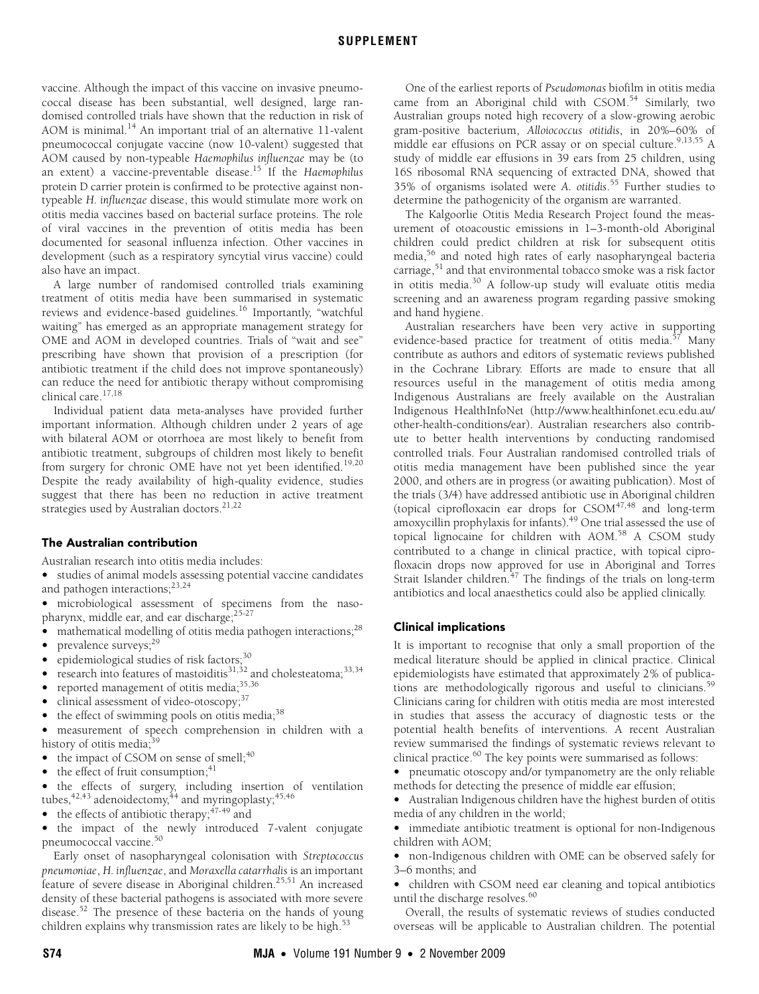vaccine. Although the impact of this vaccine on invasive pneumococcal disease has been substantial, well designed, large randomised controlled trials have shown that the reduction in risk of AOM is minimal.[14](#page-3-11) An important trial of an alternative 11-valent pneumococcal conjugate vaccine (now 10-valent) suggested that AOM caused by non-typeable *Haemophilus influenzae* may be (to an extent) a vaccine-preventable disease[.15](#page-3-12) If the *Haemophilus* protein D carrier protein is confirmed to be protective against nontypeable *H. influenzae* disease, this would stimulate more work on otitis media vaccines based on bacterial surface proteins. The role of viral vaccines in the prevention of otitis media has been documented for seasonal influenza infection. Other vaccines in development (such as a respiratory syncytial virus vaccine) could also have an impact.

A large number of randomised controlled trials examining treatment of otitis media have been summarised in systematic reviews and evidence-based guidelines.<sup>16</sup> Importantly, "watchful waiting" has emerged as an appropriate management strategy for OME and AOM in developed countries. Trials of "wait and see" prescribing have shown that provision of a prescription (for antibiotic treatment if the child does not improve spontaneously) can reduce the need for antibiotic therapy without compromising clinical care.[17](#page-3-14),[18](#page-3-15)

Individual patient data meta-analyses have provided further important information. Although children under 2 years of age with bilateral AOM or otorrhoea are most likely to benefit from antibiotic treatment, subgroups of children most likely to benefit from surgery for chronic OME have not yet been identified.<sup>[19](#page-3-16),[20](#page-3-17)</sup> Despite the ready availability of high-quality evidence, studies suggest that there has been no reduction in active treatment strategies used by Australian doctors.<sup>21,[22](#page-3-19)</sup>

#### The Australian contribution

Australian research into otitis media includes:

• studies of animal models assessing potential vaccine candidates and pathogen interactions;<sup>[23](#page-3-20),[24](#page-3-21)</sup>

- microbiological assessment of specimens from the naso-pharynx, middle ear, and ear discharge;<sup>25[-27](#page-3-23)</sup>
- mathematical modelling of otitis media pathogen interactions; $^{28}$  $^{28}$  $^{28}$
- prevalence surveys;<sup>[29](#page-3-25)</sup>
- epidemiological studies of risk factors;<sup>30</sup>
- research into features of mastoiditis $31,32$  $31,32$  and cholesteatoma; $33,34$  $33,34$  $33,34$
- reported management of otitis media; $35,36$  $35,36$
- clinical assessment of video-otoscopy;<sup>[37](#page-4-4)</sup>
- $\bullet$  the effect of swimming pools on otitis media;<sup>38</sup>
- measurement of speech comprehension in children with a history of otitis media; $3$
- $\bullet$  the impact of CSOM on sense of smell;<sup>[40](#page-4-7)</sup>
- the effect of fruit consumption; $41$
- the effects of surgery, including insertion of ventilation tubes,<sup>[42,](#page-4-9)[43](#page-4-10)</sup> adenoidectomy,<sup>44</sup> and myringoplasty;<sup>[45](#page-4-12)[,46](#page-4-13)</sup>
- the effects of antibiotic therapy;  $47-49$  $47-49$  and

• the impact of the newly introduced 7-valent conjugate pneumococcal vaccine.[50](#page-4-16)

Early onset of nasopharyngeal colonisation with *Streptococcus pneumoniae*, *H. influenzae*, and *Moraxella catarrhalis* is an important  $\frac{1}{1}$  feature of severe disease in Aboriginal children.<sup>25[,51](#page-4-17)</sup> An increased density of these bacterial pathogens is associated with more severe disease.<sup>52</sup> The presence of these bacteria on the hands of young children explains why transmission rates are likely to be high.<sup>53</sup>

One of the earliest reports of *Pseudomonas* biofilm in otitis media came from an Aboriginal child with CSOM.<sup>[54](#page-4-20)</sup> Similarly, two Australian groups noted high recovery of a slow-growing aerobic gram-positive bacterium, *Alloiococcus otitidis*, in 20%–60% of middle ear effusions on PCR assay or on special culture.<sup>[9](#page-3-6)[,13](#page-3-10),55</sup> A study of middle ear effusions in 39 ears from 25 children, using 16S ribosomal RNA sequencing of extracted DNA, showed that 35% of organisms isolated were *A. otitidis*. [55](#page-4-21) Further studies to determine the pathogenicity of the organism are warranted.

The Kalgoorlie Otitis Media Research Project found the measurement of otoacoustic emissions in 1–3-month-old Aboriginal children could predict children at risk for subsequent otitis media,[56](#page-4-22) and noted high rates of early nasopharyngeal bacteria carriage,  $51$  and that environmental tobacco smoke was a risk factor in otitis media[.30](#page-3-26) A follow-up study will evaluate otitis media screening and an awareness program regarding passive smoking and hand hygiene.

Australian researchers have been very active in supporting evidence-based practice for treatment of otitis media.<sup>[57](#page-4-23)</sup> Many contribute as authors and editors of systematic reviews published in the Cochrane Library. Efforts are made to ensure that all resources useful in the management of otitis media among Indigenous Australians are freely available on the Australian Indigenous HealthInfoNet (http://www.healthinfonet.ecu.edu.au/ other-health-conditions/ear). Australian researchers also contribute to better health interventions by conducting randomised controlled trials. Four Australian randomised controlled trials of otitis media management have been published since the year 2000, and others are in progress (or awaiting publication). Most of the trials (3/4) have addressed antibiotic use in Aboriginal children (topical ciprofloxacin ear drops for CSOM<sup>[47,](#page-4-14)[48](#page-4-24)</sup> and long-term amoxycillin prophylaxis for infants)[.49](#page-4-15) One trial assessed the use of topical lignocaine for children with AOM.[58](#page-4-25) A CSOM study contributed to a change in clinical practice, with topical ciprofloxacin drops now approved for use in Aboriginal and Torres Strait Islander children. $47$  The findings of the trials on long-term antibiotics and local anaesthetics could also be applied clinically.

#### Clinical implications

It is important to recognise that only a small proportion of the medical literature should be applied in clinical practice. Clinical epidemiologists have estimated that approximately 2% of publica-tions are methodologically rigorous and useful to clinicians.<sup>[59](#page-4-26)</sup> Clinicians caring for children with otitis media are most interested in studies that assess the accuracy of diagnostic tests or the potential health benefits of interventions. A recent Australian review summarised the findings of systematic reviews relevant to clinical practice. $60$  The key points were summarised as follows:

• pneumatic otoscopy and/or tympanometry are the only reliable methods for detecting the presence of middle ear effusion;

• Australian Indigenous children have the highest burden of otitis media of any children in the world;

• immediate antibiotic treatment is optional for non-Indigenous children with AOM;

• non-Indigenous children with OME can be observed safely for 3–6 months; and

• children with CSOM need ear cleaning and topical antibiotics until the discharge resolves.<sup>[60](#page-4-27)</sup>

Overall, the results of systematic reviews of studies conducted overseas will be applicable to Australian children. The potential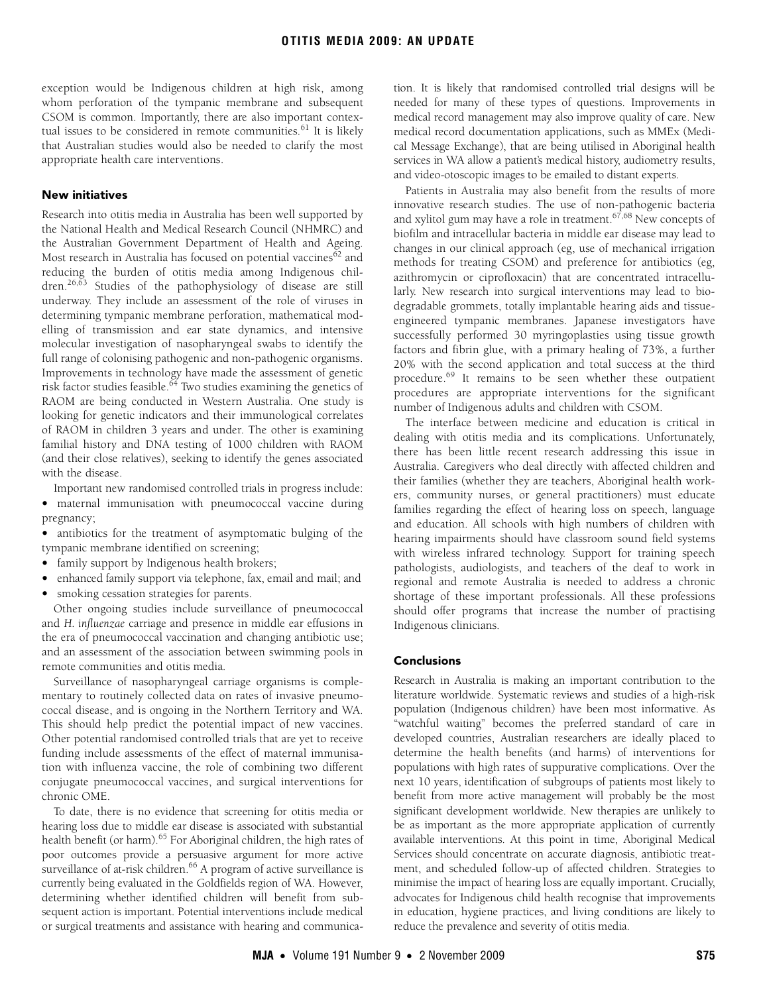exception would be Indigenous children at high risk, among whom perforation of the tympanic membrane and subsequent CSOM is common. Importantly, there are also important contextual issues to be considered in remote communities.<sup>61</sup> It is likely that Australian studies would also be needed to clarify the most appropriate health care interventions.

#### New initiatives

Research into otitis media in Australia has been well supported by the National Health and Medical Research Council (NHMRC) and the Australian Government Department of Health and Ageing. Most research in Australia has focused on potential vaccines $\overline{62}$  $\overline{62}$  $\overline{62}$  and reducing the burden of otitis media among Indigenous children.[26](#page-3-30)[,63](#page-4-30) Studies of the pathophysiology of disease are still underway. They include an assessment of the role of viruses in determining tympanic membrane perforation, mathematical modelling of transmission and ear state dynamics, and intensive molecular investigation of nasopharyngeal swabs to identify the full range of colonising pathogenic and non-pathogenic organisms. Improvements in technology have made the assessment of genetic risk factor studies feasible.[64](#page-4-31) Two studies examining the genetics of RAOM are being conducted in Western Australia. One study is looking for genetic indicators and their immunological correlates of RAOM in children 3 years and under. The other is examining familial history and DNA testing of 1000 children with RAOM (and their close relatives), seeking to identify the genes associated with the disease.

Important new randomised controlled trials in progress include:

• maternal immunisation with pneumococcal vaccine during pregnancy;

• antibiotics for the treatment of asymptomatic bulging of the tympanic membrane identified on screening;

- family support by Indigenous health brokers;
- enhanced family support via telephone, fax, email and mail; and
- smoking cessation strategies for parents.

Other ongoing studies include surveillance of pneumococcal and *H. influenzae* carriage and presence in middle ear effusions in the era of pneumococcal vaccination and changing antibiotic use; and an assessment of the association between swimming pools in remote communities and otitis media.

Surveillance of nasopharyngeal carriage organisms is complementary to routinely collected data on rates of invasive pneumococcal disease, and is ongoing in the Northern Territory and WA. This should help predict the potential impact of new vaccines. Other potential randomised controlled trials that are yet to receive funding include assessments of the effect of maternal immunisation with influenza vaccine, the role of combining two different conjugate pneumococcal vaccines, and surgical interventions for chronic OME.

To date, there is no evidence that screening for otitis media or hearing loss due to middle ear disease is associated with substantial health benefit (or harm)[.65](#page-4-32) For Aboriginal children, the high rates of poor outcomes provide a persuasive argument for more active surveillance of at-risk children.<sup>66</sup> A program of active surveillance is currently being evaluated in the Goldfields region of WA. However, determining whether identified children will benefit from subsequent action is important. Potential interventions include medical or surgical treatments and assistance with hearing and communication. It is likely that randomised controlled trial designs will be needed for many of these types of questions. Improvements in medical record management may also improve quality of care. New medical record documentation applications, such as MMEx (Medical Message Exchange), that are being utilised in Aboriginal health services in WA allow a patient's medical history, audiometry results, and video-otoscopic images to be emailed to distant experts.

Patients in Australia may also benefit from the results of more innovative research studies. The use of non-pathogenic bacteria and xylitol gum may have a role in treatment.<sup>67,68</sup> New concepts of biofilm and intracellular bacteria in middle ear disease may lead to changes in our clinical approach (eg, use of mechanical irrigation methods for treating CSOM) and preference for antibiotics (eg, azithromycin or ciprofloxacin) that are concentrated intracellularly. New research into surgical interventions may lead to biodegradable grommets, totally implantable hearing aids and tissueengineered tympanic membranes. Japanese investigators have successfully performed 30 myringoplasties using tissue growth factors and fibrin glue, with a primary healing of 73%, a further 20% with the second application and total success at the third procedure.[69](#page-4-0) It remains to be seen whether these outpatient procedures are appropriate interventions for the significant number of Indigenous adults and children with CSOM.

The interface between medicine and education is critical in dealing with otitis media and its complications. Unfortunately, there has been little recent research addressing this issue in Australia. Caregivers who deal directly with affected children and their families (whether they are teachers, Aboriginal health workers, community nurses, or general practitioners) must educate families regarding the effect of hearing loss on speech, language and education. All schools with high numbers of children with hearing impairments should have classroom sound field systems with wireless infrared technology. Support for training speech pathologists, audiologists, and teachers of the deaf to work in regional and remote Australia is needed to address a chronic shortage of these important professionals. All these professions should offer programs that increase the number of practising Indigenous clinicians.

#### Conclusions

Research in Australia is making an important contribution to the literature worldwide. Systematic reviews and studies of a high-risk population (Indigenous children) have been most informative. As "watchful waiting" becomes the preferred standard of care in developed countries, Australian researchers are ideally placed to determine the health benefits (and harms) of interventions for populations with high rates of suppurative complications. Over the next 10 years, identification of subgroups of patients most likely to benefit from more active management will probably be the most significant development worldwide. New therapies are unlikely to be as important as the more appropriate application of currently available interventions. At this point in time, Aboriginal Medical Services should concentrate on accurate diagnosis, antibiotic treatment, and scheduled follow-up of affected children. Strategies to minimise the impact of hearing loss are equally important. Crucially, advocates for Indigenous child health recognise that improvements in education, hygiene practices, and living conditions are likely to reduce the prevalence and severity of otitis media.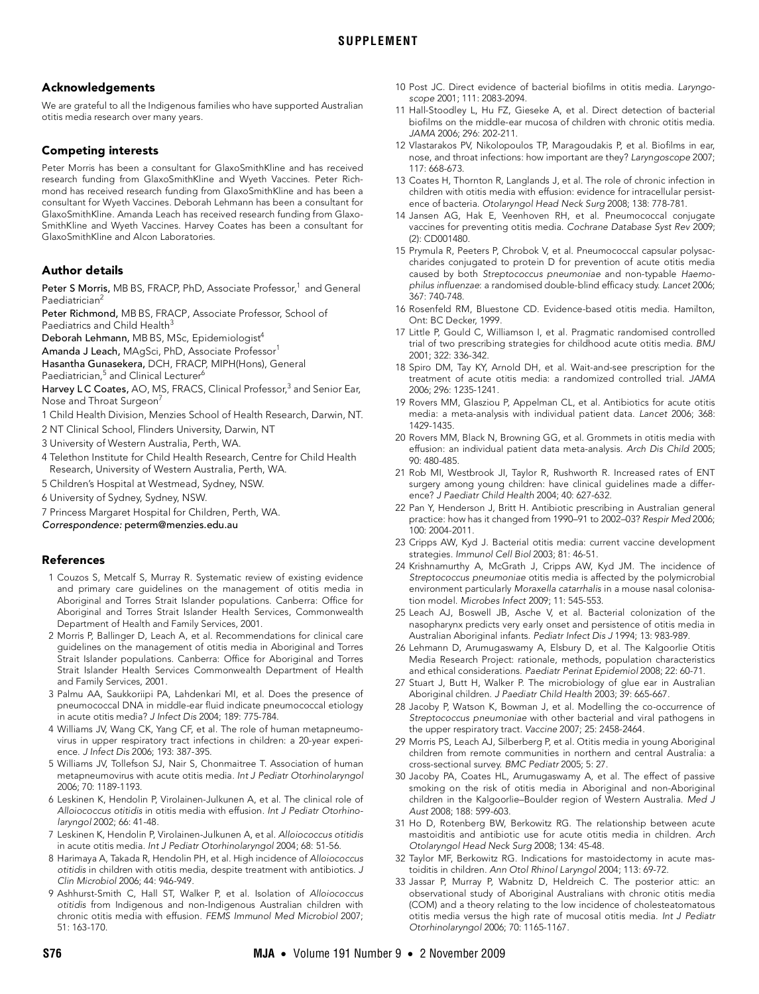## Acknowledgements

We are grateful to all the Indigenous families who have supported Australian otitis media research over many years.

## Competing interests

Peter Morris has been a consultant for GlaxoSmithKline and has received research funding from GlaxoSmithKline and Wyeth Vaccines. Peter Richmond has received research funding from GlaxoSmithKline and has been a consultant for Wyeth Vaccines. Deborah Lehmann has been a consultant for GlaxoSmithKline. Amanda Leach has received research funding from Glaxo-SmithKline and Wyeth Vaccines. Harvey Coates has been a consultant for GlaxoSmithKline and Alcon Laboratories.

## Author details

Peter S Morris, MB BS, FRACP, PhD, Associate Professor,<sup>1</sup> and General Paediatrician<sup>2</sup>

Peter Richmond, MB BS, FRACP, Associate Professor, School of Paediatrics and Child Health<sup>3</sup>

Deborah Lehmann, MB BS, MSc, Epidemiologist<sup>4</sup>

Amanda J Leach, MAgSci, PhD, Associate Professor<sup>1</sup>

Hasantha Gunasekera, DCH, FRACP, MIPH(Hons), General

Paediatrician,<sup>5</sup> and Clinical Lecturer<sup>6</sup>

Harvey LC Coates, AO, MS, FRACS, Clinical Professor,<sup>3</sup> and Senior Ear, Nose and Throat Surgeon<sup>7</sup>

1 Child Health Division, Menzies School of Health Research, Darwin, NT.

2 NT Clinical School, Flinders University, Darwin, NT

3 University of Western Australia, Perth, WA.

4 Telethon Institute for Child Health Research, Centre for Child Health Research, University of Western Australia, Perth, WA.

5 Children's Hospital at Westmead, Sydney, NSW.

6 University of Sydney, Sydney, NSW.

7 Princess Margaret Hospital for Children, Perth, WA.

Correspondence: peterm@menzies.edu.au

#### References

- <span id="page-3-0"></span>1 Couzos S, Metcalf S, Murray R. Systematic review of existing evidence and primary care guidelines on the management of otitis media in Aboriginal and Torres Strait Islander populations. Canberra: Office for Aboriginal and Torres Strait Islander Health Services, Commonwealth Department of Health and Family Services, 2001.
- <span id="page-3-1"></span>2 Morris P, Ballinger D, Leach A, et al. Recommendations for clinical care guidelines on the management of otitis media in Aboriginal and Torres Strait Islander populations. Canberra: Office for Aboriginal and Torres Strait Islander Health Services Commonwealth Department of Health and Family Services, 2001.
- <span id="page-3-2"></span>3 Palmu AA, Saukkoriipi PA, Lahdenkari MI, et al. Does the presence of pneumococcal DNA in middle-ear fluid indicate pneumococcal etiology in acute otitis media? J Infect Dis 2004; 189: 775-784.
- <span id="page-3-3"></span>4 Williams JV, Wang CK, Yang CF, et al. The role of human metapneumovirus in upper respiratory tract infections in children: a 20-year experience. J Infect Dis 2006; 193: 387-395.
- <span id="page-3-4"></span>5 Williams JV, Tollefson SJ, Nair S, Chonmaitree T. Association of human metapneumovirus with acute otitis media. Int J Pediatr Otorhinolaryngol 2006; 70: 1189-1193.
- <span id="page-3-5"></span>6 Leskinen K, Hendolin P, Virolainen-Julkunen A, et al. The clinical role of Alloiococcus otitidis in otitis media with effusion. Int J Pediatr Otorhinolaryngol 2002; 66: 41-48.
- 7 Leskinen K, Hendolin P, Virolainen-Julkunen A, et al. Alloiococcus otitidis in acute otitis media. Int J Pediatr Otorhinolaryngol 2004; 68: 51-56.
- 8 Harimaya A, Takada R, Hendolin PH, et al. High incidence of Alloiococcus otitidis in children with otitis media, despite treatment with antibiotics. J Clin Microbiol 2006; 44: 946-949.
- <span id="page-3-6"></span>9 Ashhurst-Smith C, Hall ST, Walker P, et al. Isolation of Alloiococcus otitidis from Indigenous and non-Indigenous Australian children with chronic otitis media with effusion. FEMS Immunol Med Microbiol 2007; 51: 163-170.
- <span id="page-3-7"></span>10 Post JC. Direct evidence of bacterial biofilms in otitis media. Laryngoscope 2001; 111: 2083-2094.
- <span id="page-3-8"></span>11 Hall-Stoodley L, Hu FZ, Gieseke A, et al. Direct detection of bacterial biofilms on the middle-ear mucosa of children with chronic otitis media. JAMA 2006; 296: 202-211.
- <span id="page-3-9"></span>12 Vlastarakos PV, Nikolopoulos TP, Maragoudakis P, et al. Biofilms in ear, nose, and throat infections: how important are they? Laryngoscope 2007; 117: 668-673.
- <span id="page-3-10"></span>13 Coates H, Thornton R, Langlands J, et al. The role of chronic infection in children with otitis media with effusion: evidence for intracellular persistence of bacteria. Otolaryngol Head Neck Surg 2008; 138: 778-781.
- <span id="page-3-11"></span>14 Jansen AG, Hak E, Veenhoven RH, et al. Pneumococcal conjugate vaccines for preventing otitis media. Cochrane Database Syst Rev 2009; (2): CD001480.
- <span id="page-3-12"></span>15 Prymula R, Peeters P, Chrobok V, et al. Pneumococcal capsular polysaccharides conjugated to protein D for prevention of acute otitis media caused by both Streptococcus pneumoniae and non-typable Haemophilus influenzae: a randomised double-blind efficacy study. Lancet 2006; 367: 740-748.
- <span id="page-3-13"></span>16 Rosenfeld RM, Bluestone CD. Evidence-based otitis media. Hamilton, Ont: BC Decker, 1999.
- <span id="page-3-14"></span>17 Little P, Gould C, Williamson I, et al. Pragmatic randomised controlled trial of two prescribing strategies for childhood acute otitis media. BMJ 2001; 322: 336-342.
- <span id="page-3-15"></span>18 Spiro DM, Tay KY, Arnold DH, et al. Wait-and-see prescription for the treatment of acute otitis media: a randomized controlled trial. JAMA 2006; 296: 1235-1241.
- <span id="page-3-16"></span>19 Rovers MM, Glasziou P, Appelman CL, et al. Antibiotics for acute otitis media: a meta-analysis with individual patient data. Lancet 2006; 368: 1429-1435.
- <span id="page-3-17"></span>20 Rovers MM, Black N, Browning GG, et al. Grommets in otitis media with effusion: an individual patient data meta-analysis. Arch Dis Child 2005; 90: 480-485.
- <span id="page-3-18"></span>21 Rob MI, Westbrook JI, Taylor R, Rushworth R. Increased rates of ENT surgery among young children: have clinical guidelines made a difference? J Paediatr Child Health 2004; 40: 627-632.
- <span id="page-3-19"></span>22 Pan Y, Henderson J, Britt H. Antibiotic prescribing in Australian general practice: how has it changed from 1990–91 to 2002–03? Respir Med 2006; 100: 2004-2011.
- <span id="page-3-20"></span>23 Cripps AW, Kyd J. Bacterial otitis media: current vaccine development strategies. Immunol Cell Biol 2003; 81: 46-51.
- <span id="page-3-21"></span>24 Krishnamurthy A, McGrath J, Cripps AW, Kyd JM. The incidence of Streptococcus pneumoniae otitis media is affected by the polymicrobial environment particularly Moraxella catarrhalis in a mouse nasal colonisation model. Microbes Infect 2009; 11: 545-553.
- <span id="page-3-22"></span>25 Leach AJ, Boswell JB, Asche V, et al. Bacterial colonization of the nasopharynx predicts very early onset and persistence of otitis media in Australian Aboriginal infants. Pediatr Infect Dis J 1994; 13: 983-989.
- <span id="page-3-30"></span>26 Lehmann D, Arumugaswamy A, Elsbury D, et al. The Kalgoorlie Otitis Media Research Project: rationale, methods, population characteristics and ethical considerations. Paediatr Perinat Epidemiol 2008; 22: 60-71.
- <span id="page-3-23"></span>27 Stuart J, Butt H, Walker P. The microbiology of glue ear in Australian Aboriginal children. J Paediatr Child Health 2003; 39: 665-667.
- <span id="page-3-24"></span>28 Jacoby P, Watson K, Bowman J, et al. Modelling the co-occurrence of Streptococcus pneumoniae with other bacterial and viral pathogens in the upper respiratory tract. Vaccine 2007; 25: 2458-2464.
- <span id="page-3-25"></span>29 Morris PS, Leach AJ, Silberberg P, et al. Otitis media in young Aboriginal children from remote communities in northern and central Australia: a cross-sectional survey. BMC Pediatr 2005; 5: 27.
- <span id="page-3-26"></span>30 Jacoby PA, Coates HL, Arumugaswamy A, et al. The effect of passive smoking on the risk of otitis media in Aboriginal and non-Aboriginal children in the Kalgoorlie–Boulder region of Western Australia. Med J Aust 2008; 188: 599-603.
- <span id="page-3-27"></span>31 Ho D, Rotenberg BW, Berkowitz RG. The relationship between acute mastoiditis and antibiotic use for acute otitis media in children. Arch Otolaryngol Head Neck Surg 2008; 134: 45-48.
- <span id="page-3-28"></span>32 Taylor MF, Berkowitz RG. Indications for mastoidectomy in acute mastoiditis in children. Ann Otol Rhinol Laryngol 2004; 113: 69-72.
- <span id="page-3-29"></span>33 Jassar P, Murray P, Wabnitz D, Heldreich C. The posterior attic: an observational study of Aboriginal Australians with chronic otitis media (COM) and a theory relating to the low incidence of cholesteatomatous otitis media versus the high rate of mucosal otitis media. Int J Pediatr Otorhinolaryngol 2006; 70: 1165-1167.